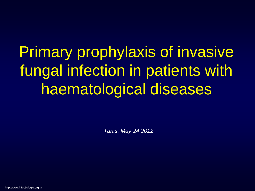Primary prophylaxis of invasive fungal infection in patients with haematological diseases

*Tunis, May 24 2012*

http://www.infectiologie.org.tn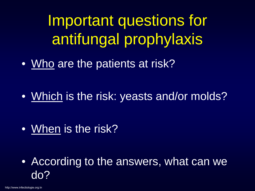Important questions for antifungal prophylaxis

• Who are the patients at risk?

• Which is the risk: yeasts and/or molds?

• When is the risk?

• According to the answers, what can we do?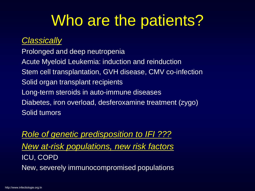# Who are the patients?

#### *Classically*

Prolonged and deep neutropenia Acute Myeloid Leukemia: induction and reinduction Stem cell transplantation, GVH disease, CMV co-infection Solid organ transplant recipients Long-term steroids in auto-immune diseases Diabetes, iron overload, desferoxamine treatment (zygo) Solid tumors

*Role of genetic predisposition to IFI ??? New at-risk populations, new risk factors* ICU, COPD New, severely immunocompromised populations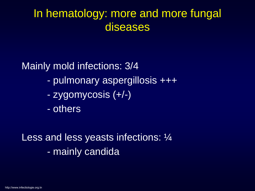### In hematology: more and more fungal diseases

Mainly mold infections: 3/4

- pulmonary aspergillosis +++
- zygomycosis (+/-)
- others

Less and less yeasts infections: 1/4 - mainly candida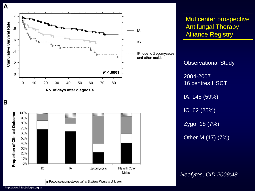



Response (complete+partial) a Stable a Worse & Unknown

Muticenter prospective Antifungal Therapy Alliance Registry

Observational Study 2004-2007 16 centres HSCT IA: 148 (59%) IC: 62 (25%) Zygo: 18 (7%) Other M (17) (7%)

*Neofytos, CID 2009;48*

A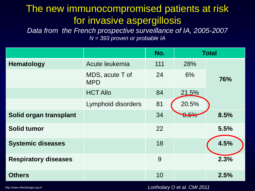#### The new immunocompromised patients at risk for invasive aspergillosis

*Data from the French prospective surveillance of IA, 2005-2007 N = 393 proven or probable IA*

|                             |                               | No. |       | <b>Total</b> |
|-----------------------------|-------------------------------|-----|-------|--------------|
| <b>Hematology</b>           | Acute leukemia                | 111 | 28%   |              |
|                             | MDS, acute T of<br><b>MPD</b> | 24  | 6%    | 76%          |
|                             | <b>HCT Allo</b>               | 84  | 21.5% |              |
|                             | Lymphoid disorders            | 81  | 20.5% |              |
| Solid organ transplant      |                               | 34  | 8.5%  | 8.5%         |
| <b>Solid tumor</b>          |                               | 22  |       | 5.5%         |
| <b>Systemic diseases</b>    |                               | 18  |       | 4.5%         |
| <b>Respiratory diseases</b> |                               | 9   |       | 2.3%         |
| <b>Others</b>               |                               | 10  |       | 2.5%         |

http://www.infectiologie.org.tn

*Lortholary O et al. CMI 2011*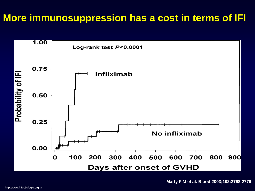#### **More immunosuppression has a cost in terms of IFI**



**Marty F M et al. Blood 2003;102:2768-2776**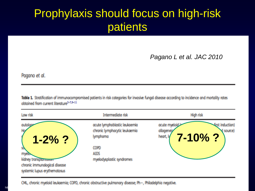## Prophylaxis should focus on high-risk patients

#### *Pagano L et al. JAC 2010*

Pagano et al.

Table 1. Stratification of immunocompromised patients in risk categories for invasive fungal disease according to incidence and mortality rates obtained from current literature<sup>2-7,9-11</sup>

| Low risk                      | Intermediate risk                                                          | <b>High risk</b>                                                                                    |
|-------------------------------|----------------------------------------------------------------------------|-----------------------------------------------------------------------------------------------------|
| qutology<br>Ho<br>$1 - 2%$ ?  | ocute lymphoblastic leukaemia<br>chronic lymphocytic leukoemia<br>lymphomo | acute myeloid<br><b>Erst induction)</b><br>allogeneig<br>$\check{q}$ source)<br>7-10%?<br>heart, ly |
| 歌                             | <b>COPD</b>                                                                |                                                                                                     |
| myelow                        | <b>AIDS</b>                                                                |                                                                                                     |
| kidney transplantauum         | myelodysplastic syndromes                                                  |                                                                                                     |
| chronic immunological disease |                                                                            |                                                                                                     |
| systemic lupus erythemotosus  |                                                                            |                                                                                                     |

CML, chronic myeloid leukaemia; COPD, chronic obstructive pulmonary disease; Ph-, Philadelphia negative.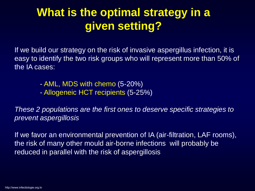### **What is the optimal strategy in a given setting?**

If we build our strategy on the risk of invasive aspergillus infection, it is easy to identify the two risk groups who will represent more than 50% of the IA cases:

- AML, MDS with chemo (5-20%)
- Allogeneic HCT recipients (5-25%)

*These 2 populations are the first ones to deserve specific strategies to prevent aspergillosis*

If we favor an environmental prevention of IA (air-filtration, LAF rooms), the risk of many other mould air-borne infections will probably be reduced in parallel with the risk of aspergillosis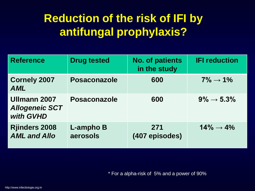### **Reduction of the risk of IFI by antifungal prophylaxis?**

| <b>Reference</b>                                   | <b>Drug tested</b>           | <b>No. of patients</b><br>in the study | <b>IFI reduction</b>    |
|----------------------------------------------------|------------------------------|----------------------------------------|-------------------------|
| <b>Cornely 2007</b><br><b>AML</b>                  | <b>Posaconazole</b>          | 600                                    | $7\% \rightarrow 1\%$   |
| Ullmann 2007<br><b>Allogeneic SCT</b><br>with GVHD | <b>Posaconazole</b>          | 600                                    | $9\% \rightarrow 5.3\%$ |
| <b>Rjinders 2008</b><br><b>AML and Allo</b>        | <b>L-ampho B</b><br>aerosols | 271<br>(407 episodes)                  | $14\% \rightarrow 4\%$  |

\* For a alpha-risk of 5% and a power of 90%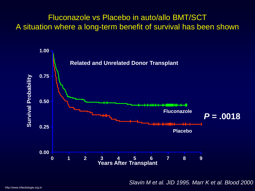#### Fluconazole vs Placebo in auto/allo BMT/SCT A situation where a long-term benefit of survival has been shown



*Slavin M et al. JID 1995. Marr K et al. Blood 2000.*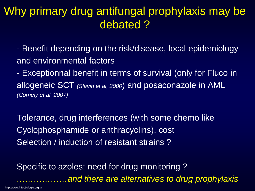#### Why primary drug antifungal prophylaxis may be debated ?

- Benefit depending on the risk/disease, local epidemiology and environmental factors

- Exceptionnal benefit in terms of survival (only for Fluco in allogeneic SCT *(Slavin et al, 2000*) and posaconazole in AML *(Cornely et al. 2007)*

Tolerance, drug interferences (with some chemo like Cyclophosphamide or anthracyclins), cost Selection / induction of resistant strains ?

Specific to azoles: need for drug monitoring ? *………………and there are alternatives to drug prophylaxis*

http://www.infectiologie.org.tn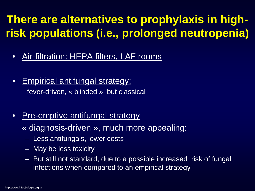## **There are alternatives to prophylaxis in highrisk populations (i.e., prolonged neutropenia)**

- Air-filtration: HEPA filters, LAF rooms
- Empirical antifungal strategy: fever-driven, « blinded », but classical
- Pre-emptive antifungal strategy
	- « diagnosis-driven », much more appealing:
	- Less antifungals, lower costs
	- May be less toxicity
	- But still not standard, due to a possible increased risk of fungal infections when compared to an empirical strategy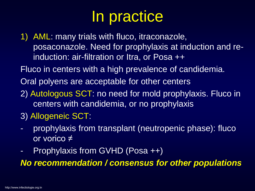# In practice

1) AML: many trials with fluco, itraconazole, posaconazole. Need for prophylaxis at induction and reinduction: air-filtration or Itra, or Posa ++

Fluco in centers with a high prevalence of candidemia.

Oral polyens are acceptable for other centers

- 2) Autologous SCT: no need for mold prophylaxis. Fluco in centers with candidemia, or no prophylaxis
- 3) Allogeneic SCT:
- prophylaxis from transplant (neutropenic phase): fluco or vorico ≠
- Prophylaxis from GVHD (Posa ++)

*No recommendation / consensus for other populations*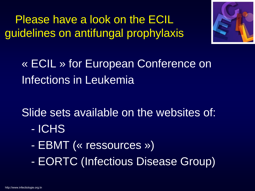Please have a look on the ECIL guidelines on antifungal prophylaxis



« ECIL » for European Conference on Infections in Leukemia

Slide sets available on the websites of:

- ICHS
- EBMT (« ressources »)
- EORTC (Infectious Disease Group)